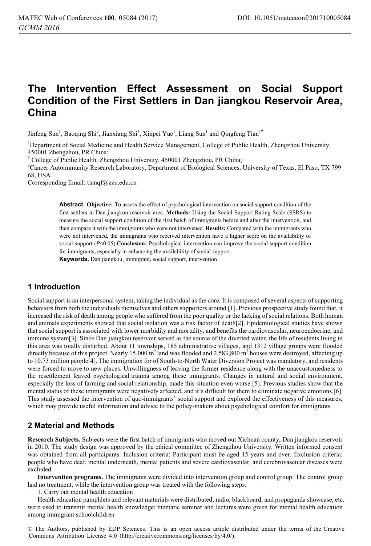# **The Intervention Effect Assessment on Social Support Condition of the First Settlers in Dan jiangkou Reservoir Area, China**

Jinfeng Sun<sup>1</sup>, Baoqing Shi<sup>2</sup>, Jianxiang Shi<sup>3</sup>, Xinpei Yue<sup>1</sup>, Liang Sun<sup>1</sup> and Qingfeng Tian<sup>1\*</sup>

<sup>1</sup>Department of Social Medicine and Health Service Management, College of Public Health, Zhengzhou University, 450001 Zhengzhou, PR China;

<sup>2</sup> College of Public Health, Zhengzhou University, 450001 Zhengzhou, PR China;

3 Cancer Autoimmunity Research Laboratory, Department of Biological Sciences, University of Texas, El Paso, TX 799 68, USA.

Corresponding Email: tianqf@zzu.edu.cn

**Abstract. Objective:** To assess the effect of psychological intervention on social support condition of the first settlers in Dan jiangkou reservoir area. **Methods:** Using the Social Support Rating Scale (SSRS) to measure the social support condition of the first batch of immigrants before and after the intervention, and then compare it with the immigrants who were not intervened. **Results:** Compared with the immigrants who were not intervened, the immigrants who received intervention have a higher score on the availability of social support ( $P<0.05$ ). **Conclusion:** Psychological intervention can improve the social support condition for immigrants, especially in enhancing the availability of social support.

**Keywords.** Dan jiangkou, immigrant, social support, intervention

## **1 Introduction**

Social support is an interpersonal system, taking the individual as the cor**e.** It is composed of several aspects of supporting behaviors from both the individuals themselves and others supporters around [1]. Previous prospective study found that, it increased the risk of death among people who suffered from the poor quality or the lacking of social relations. Both human and animals experiments showed that social isolation was a risk factor of death[2]. Epidemiological studies have shown that social support is associated with lower morbidity and mortality, and benefits the cardiovascular, neuroendocrine, and immune system[3]. Since Dan jiangkou reservoir served as the source of the diverted water, the life of residents living in this area was totally disturbed. About 11 townships, 185 administrative villages, and 1312 village groups were flooded directly because of this project. Nearly 15,000  $m^2$  land was flooded and 2,583,800  $m^2$  houses were destroyed, affecting up to 10.73 million people[4]. The immigration for of South-to-North Water Diversion Project was mandatory, and residents were forced to move to new places. Unwillingness of leaving the former residence along with the unaccustomedness to the resettlement leaved psychological trauma among these immigrants. Changes in natural and social environment, especially the loss of farming and social relationship, made this situation even worse.[5]. Previous studies show that the mental status of these immigrants were negatively affected, and it's difficult for them to eliminate negative emotions.[6]. This study assessed the intervention of quo-immigrants' social support and explored the effectiveness of this measures, which may provide useful information and advice to the policy-makers about psychological comfort for immigrants.

## **2 Material and Methods**

**Research Subjects.** Subjects were the first batch of immigrants who moved out Xichuan county, Dan jiangkou reservoir in 2010. The study design was approved by the ethical committee of Zhengzhou University. Written informed consent was obtained from all participants. Inclusion criteria: Participant must be aged 15 years and over. Exclusion criteria: people who have deaf, mental underneath, mental patients and severe cardiovascular, and cerebrovascular diseases were excluded.

**Intervention programs.** The immigrants were divided into intervention group and control group. The control group had no treatment, while the intervention group was treated with the following steps:

1. Carry out mental health education

Health education pamphlets and relevant materials were distributed; radio, blackboard, and propaganda showcase, etc. were used to transmit mental health knowledge; thematic seminar and lectures were given for mental health education among immigrant schoolchildren

© The Authors, published by EDP Sciences. This is an open access article distributed under the terms of the Creative Commons Attribution License 4.0 (http://creativecommons.org/licenses/by/4.0/).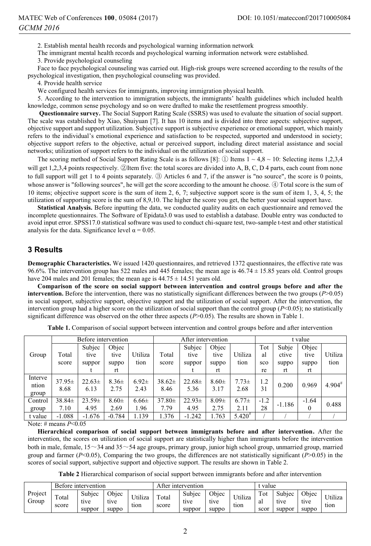2. Establish mental health records and psychological warning information network

The immigrant mental health records and psychological warning information network were established.

3. Provide psychological counseling

Face to face psychological counseling was carried out. High-risk groups were screened according to the results of the psychological investigation, then psychological counseling was provided.

4. Provide health service

We configured health services for immigrants, improving immigration physical health.

5. According to the intervention to immigration subjects, the immigrants' health guidelines which included health knowledge, common sense psychology and so on were drafted to make the resettlement progress smoothly.

 **Questionnaire survey.** The Social Support Rating Scale (SSRS) was used to evaluate the situation of social support. The scale was established by Xiao, Shuiyuan [7]. It has 10 items and is divided into three aspects: subjective support, objective support and support utilization. Subjective support is subjective experience or emotional support, which mainly refers to the individual's emotional experience and satisfaction to be respected, supported and understood in society; objective support refers to the objective, actual or perceived support, including direct material assistance and social networks; utilization of support refers to the individual on the utilization of social support.

The scoring method of Social Support Rating Scale is as follows [8]: ① Items  $1 \sim 4.8 \sim 10$ : Selecting items 1,2,3,4 will get 1,2,3,4 points respectively.  $\oslash$ Item five: the total scores are divided into A, B, C, D 4 parts, each count from none to full support will get 1 to 4 points separately.  $\circled{3}$  Articles 6 and 7, if the answer is "no source", the score is 0 points, whose answer is "following sources", he will get the score according to the amount he choose. 4 Total score is the sum of 10 items; objective support score is the sum of item 2, 6, 7; subjective support score is the sum of item 1, 3, 4, 5; the utilization of supporting score is the sum of 8,9,10. The higher the score you get, the better your social support have.

**Statistical Analysis.** Before inputting the data, we conducted quality audits on each questionnaire and removed the incomplete questionnaires. The Software of Epidata3.0 was used to establish a database. Double entry was conducted to avoid input error. SPSS17.0 statistical software was used to conduct chi-square test, two-sample t-test and other statistical analysis for the data. Significance level  $\alpha = 0.05$ .

## **3 Results**

**Demographic Characteristics.** We issued 1420 questionnaires, and retrieved 1372 questionnaires, the effective rate was 96.6%. The intervention group has 522 males and 445 females; the mean age is  $46.74 \pm 15.85$  years old. Control groups have 204 males and 201 females; the mean age is  $44.75 \pm 14.51$  years old.

**Comparison of the score on social support between intervention and control groups before and after the intervention.** Before the intervention, there was no statistically significant differences between the two groups (*P*>0.05) in social support, subjective support, objective support and the utilization of social support. After the intervention, the intervention group had a higher score on the utilization of social support than the control group (*P*<0.05); no statistically significant difference was observed on the other three aspects (*P*>0.05). The results are shown in Table 1.

|                                                                               |            | Before intervention |            |            |             | t value     |            |             |        |          |         |             |
|-------------------------------------------------------------------------------|------------|---------------------|------------|------------|-------------|-------------|------------|-------------|--------|----------|---------|-------------|
|                                                                               |            | Subjec              | Objec      |            |             | Subjec      | Objec      |             | Tot    | Subje    | Objec   |             |
| Group                                                                         | Total      | tive                | tive       | Utiliza    | Total       | tive        | tive       | Utiliza     | al     | ctive    | tive    | Utiliza     |
|                                                                               | score      | suppor              | suppo      | tion       | score       | suppor      | suppo      | tion        | sco    | suppo    | suppo   | tion        |
|                                                                               |            |                     | rt         |            |             |             | rt         |             | re     | rt       | rt      |             |
| Interve<br>ntion                                                              | $37.95\pm$ | $22.63 \pm$         | $8.36\pm$  | $6.92 \pm$ | $38.62 \pm$ | $22.68 \pm$ | $8.60 \pm$ | $7.73 \pm$  | 1.2    | 0.200    | 0.969   | $4.904^{#}$ |
| group                                                                         | 8.68       | 6.13                | 2.75       | 2.43       | 8.46        | 5.36        | 3.17       | 2.68        | 31     |          |         |             |
| Control                                                                       | $38.84\pm$ | $23.59\pm$          | $8.60 \pm$ | $6.66 \pm$ | $37.80 \pm$ | $22.93\pm$  | $8.09\pm$  | $6.77 \pm$  | $-1.2$ | $-1.186$ | $-1.64$ | 0.488       |
| group                                                                         | 7.10       | 4.95                | 2.69       | 1.96       | 7.79        | 4.95        | 2.75       | 2.11        | 28     |          | 0       |             |
| t value                                                                       | $-1.088$   | $-1.676$            | $-0.784$   | 1.139      | 1.376       | $-1.242$    | 1.763      | $5.420^{#}$ |        |          |         |             |
| $\mathbf{M}$ $\mathbf{H}$ $\mathbf{H}$ $\mathbf{H}$ $\mathbf{H}$ $\mathbf{H}$ |            |                     |            |            |             |             |            |             |        |          |         |             |

**Table 1.** Comparison of social support between intervention and control groups before and after intervention

Note: # means *P*<0.05

**Hierarchical comparison of social support between immigrants before and after intervention.** After the intervention, the scores on utilization of social support are statistically higher than immigrants before the intervention both in male, female,  $15 \sim 34$  and  $35 \sim 54$  age groups, primary group, junior high school group, unmarried group, married group and farmer  $(P<0.05)$ , Comparing the two groups, the differences are not statistically significant  $(P>0.05)$  in the scores of social support, subjective support and objective support. The results are shown in Table 2.

**Table 2** Hierarchical comparison of social support between immigrants before and after intervention

|                  | Before intervention |                          |                        |                 | After intervention            | value                    |                        |                 |                   |                          |                        |                 |
|------------------|---------------------|--------------------------|------------------------|-----------------|-------------------------------|--------------------------|------------------------|-----------------|-------------------|--------------------------|------------------------|-----------------|
| Project<br>Group | Total<br>score      | Subjec<br>tive<br>suppor | Obiec<br>tive<br>suppo | Utiliza<br>tion | $\tau_{\text{otal}}$<br>score | Subjec<br>tive<br>suppor | Objec<br>tive<br>suppo | Utiliza<br>tion | Tot<br>al<br>scor | Subjec<br>tive<br>suppor | Objec<br>tive<br>suppo | Utiliza<br>tion |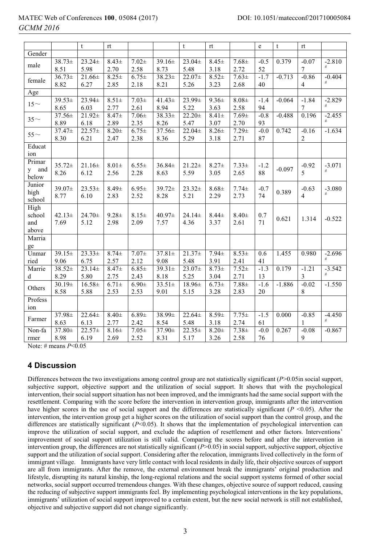# MATEC Web of Conferences **100**, 05084 (2017) DOI: 10.1051/matecconf/201710005084 *2016 GCMM*

|          |             | t                   | rt                  |            |             | t           | rt         |            | e            | $\mathfrak{t}$ | rt                        |          |
|----------|-------------|---------------------|---------------------|------------|-------------|-------------|------------|------------|--------------|----------------|---------------------------|----------|
| Gender   |             |                     |                     |            |             |             |            |            |              |                |                           |          |
| male     | $38.73+$    | $23.24 \pm$         | $8.43 \pm$          | $7.02 \pm$ | $39.16 \pm$ | $23.04 \pm$ | $8.45 \pm$ | $7.68 \pm$ | $-0.5$       | 0.379          | $-0.07$                   | $-2.810$ |
|          | 8.51        | 5.98                | 2.70                | 2.58       | 8.73        | 5.48        | 3.18       | 2.72       | 52           |                | 7                         | #        |
| female   | $36.73+$    | $21.66 \pm$         | $8.25 \pm$          | $6.75 \pm$ | $38.23 \pm$ | $22.07+$    | $8.52+$    | $7.63 \pm$ | $-1.7$       | $-0.713$       | $-0.86$                   | $-0.404$ |
|          | 8.82        | 6.27                | 2.85                | 2.18       | 8.21        | 5.26        | 3.23       | 2.68       | 40           |                | $\overline{4}$            | $\#$     |
| Age      |             |                     |                     |            |             |             |            |            |              |                |                           |          |
|          | $39.53 \pm$ | 23.94±              | $8.51 \pm$          | $7.03+$    | $41.43 \pm$ | 23.99±      | $9.36 \pm$ | $8.08 +$   | $-1.4$       | $-0.064$       | $-1.84$                   | $-2.829$ |
| $15\sim$ | 8.65        | 6.03                | 2.77                | 2.61       | 8.94        | 5.22        | 3.63       | 2.58       | 94           |                | $\overline{7}$            | $\#$     |
| $35\sim$ | 37.56±      | $21.92 \pm$         | $8.47 +$            | $7.06 \pm$ | 38.33±      | $22.20 +$   | $8.41 \pm$ | $7.69 \pm$ | $-0.8$       | $-0.488$       | 0.196                     | $-2.455$ |
|          | 8.89        | 6.18                | 2.89                | 2.35       | 8.26        | 5.47        | 3.07       | 2.70       | 93           |                |                           | #        |
|          | $37.47 \pm$ | $22.57+$            | $\overline{8.20}$ ± | $6.75 \pm$ | 37.56±      | $22.04 \pm$ | $8.26 \pm$ | $7.29 \pm$ | $-0.0$       | 0.742          | $-0.16$                   | $-1.634$ |
| $55\sim$ | 8.30        | 6.21                | 2.47                | 2.38       | 8.36        | 5.29        | 3.18       | 2.71       | 87           |                | $\sqrt{2}$                |          |
| Educat   |             |                     |                     |            |             |             |            |            |              |                |                           |          |
| ion      |             |                     |                     |            |             |             |            |            |              |                |                           |          |
| Primar   |             |                     |                     |            |             |             |            |            |              |                |                           |          |
| and<br>y | $35.72 \pm$ | $21.16 \pm$<br>6.12 | $8.01 \pm$<br>2.56  | $6.55 \pm$ | $36.84\pm$  | $21.22 \pm$ | $8.27 \pm$ | $7.33 \pm$ | $-1.2$<br>88 | $-0.097$       | $-0.92$<br>$\overline{5}$ | $-3.071$ |
| below    | 8.26        |                     |                     | 2.28       | 8.63        | 5.59        | 3.05       | 2.65       |              |                |                           |          |
| Junior   | 39.07±      | $23.53+$            | $8.49 +$            | $6.95 \pm$ | $39.72 \pm$ | $23.32+$    | $8.68 \pm$ | $7.74 \pm$ | $-0.7$       |                | $-0.63$                   | $-3.080$ |
| high     | 8.77        | 6.10                | 2.83                | 2.52       | 8.28        | 5.21        | 2.29       | 2.73       | 74           | 0.389          | $\overline{4}$            | #        |
| school   |             |                     |                     |            |             |             |            |            |              |                |                           |          |
| High     |             |                     |                     |            |             |             |            |            |              |                |                           |          |
| school   | $42.13+$    | $24.70 \pm$         | $9.28 +$            | $8.15+$    | $40.97\pm$  | $24.14 \pm$ | $8.44 \pm$ | $8.40 \pm$ | 0.7          | 0.621          | 1.314                     | $-0.522$ |
| and      | 7.69        | 5.12                | 2.98                | 2.09       | 7.57        | 4.36        | 3.37       | 2.61       | 71           |                |                           |          |
| above    |             |                     |                     |            |             |             |            |            |              |                |                           |          |
| Marria   |             |                     |                     |            |             |             |            |            |              |                |                           |          |
| ge       |             |                     |                     |            |             |             |            |            |              |                |                           |          |
| Unmar    | $39.15 \pm$ | $23.33+$            | $8.74+$             | $7.07+$    | $37.81 \pm$ | $21.37+$    | $7.94 \pm$ | $8.53+$    | 0.6          | 1.455          | 0.980                     | $-2.696$ |
| ried     | 9.06        | 6.75                | 2.57                | 2.12       | 9.08        | 5.48        | 3.91       | 2.41       | 41           |                |                           | $\#$     |
| Marrie   | $38.52 \pm$ | $23.14 \pm$         | $8.47 +$            | $6.85 +$   | $39.31 \pm$ | 23.07±      | $8.73+$    | $7.52 +$   | $-1.3$       | 0.179          | $-1.21$                   | $-3.542$ |
| d        | 8.29        | 5.80                | 2.75                | 2.43       | 8.18        | 5.25        | 3.04       | 2.71       | 13           |                | 3                         | #        |
| Others   | $30.19 \pm$ | $16.58 \pm$         | $6.71 \pm$          | $6.90 \pm$ | $33.51 \pm$ | $18.96\pm$  | $6.73 +$   | $7.88 +$   | $-1.6$       | $-1.886$       | $-0.02$                   | $-1.550$ |
|          | 8.58        | 5.88                | 2.53                | 2.53       | 9.01        | 5.15        | 3.28       | 2.83       | 20           |                | 8                         |          |
| Profess  |             |                     |                     |            |             |             |            |            |              |                |                           |          |
| ion      |             |                     |                     |            |             |             |            |            |              |                |                           |          |
| Farmer   | 37.98±      | $22.64 \pm$         | $8.40 \pm$          | $6.89 +$   | 38.99±      | $22.64 \pm$ | $8.59+$    | $7.75+$    | $-1.5$       | 0.000          | $-0.85$                   | $-4.450$ |
|          | 8.63        | 6.13                | 2.77                | 2.42       | 8.54        | 5.48        | 3.18       | 2.74       | 61           |                | $\mathbf{1}$              | $\#$     |
| Non-fa   | $37.80 \pm$ | $22.57+$            | $8.16\pm$           | $7.05 \pm$ | 37.90±      | $22.35+$    | $8.20 \pm$ | $7.38 \pm$ | $-0.0$       | 0.267          | $-0.08$                   | $-0.867$ |
| rmer     | 8.98        | 6.19                | 2.69                | 2.52       | 8.31        | 5.17        | 3.26       | 2.58       | 76           |                | 9                         |          |

Note: # means *P*<0.05

# **4 Discussion**

Differences between the two investigations among control group are not statistically significant (*P*>0.05in social support, subjective support, objective support and the utilization of social support. It shows that with the psychological intervention, their social support situation has not been improved, and the immigrants had the same social support with the resettlement. Comparing with the score before the intervention in intervention group, immigrants after the intervention have higher scores in the use of social support and the differences are statistically significant (*P* <0.05). After the intervention, the intervention group get a higher scores on the utilization of social support than the control group, and the differences are statistically significant ( $P$ <0.05). It shows that the implementation of psychological intervention can improve the utilization of social support, and exclude the adaption of resettlement and other factors. Interventions' improvement of social support utilization is still valid. Comparing the scores before and after the intervention in intervention group, the differences are not statistically significant (*P*>0.05) in social support, subjective support, objective support and the utilization of social support. Considering after the relocation, immigrants lived collectively in the form of immigrant village. Immigrants have very little contact with local residents in daily life, their objective sources of support are all from immigrants. After the remove, the external environment break the immigrants' original production and lifestyle, disrupting its natural kinship, the long-regional relations and the social support systems formed of other social networks, social support occurred tremendous changes. With these changes, objective source of support reduced, causing the reducing of subjective support immigrants feel. By implementing psychological interventions in the key populations, immigrants' utilization of social support improved to a certain extent, but the new social network is still not established, objective and subjective support did not change significantly.